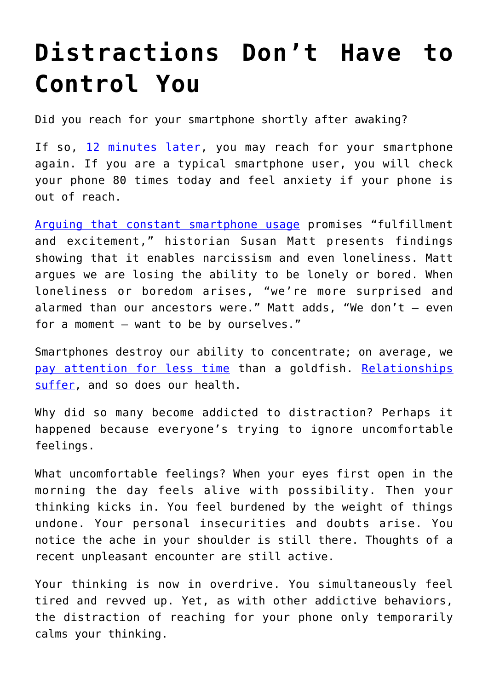## **[Distractions Don't Have to](https://intellectualtakeout.org/2019/05/distractions-dont-have-to-control-you/) [Control You](https://intellectualtakeout.org/2019/05/distractions-dont-have-to-control-you/)**

Did you reach for your smartphone shortly after awaking?

If so, [12 minutes later](https://nypost.com/2017/11/08/americans-check-their-phones-80-times-a-day-study/), you may reach for your smartphone again. If you are a typical smartphone user, you will check your phone 80 times today and feel anxiety if your phone is out of reach.

[Arguing that constant smartphone usage](https://www.vox.com/recode/2019/5/2/18510958/social-media-addiction-boredom-loneliness-society-technology-smart-phones) promises "fulfillment and excitement," historian Susan Matt presents findings showing that it enables narcissism and even loneliness. Matt argues we are losing the ability to be lonely or bored. When loneliness or boredom arises, "we're more surprised and alarmed than our ancestors were." Matt adds, "We don't — even for a moment — want to be by ourselves."

Smartphones destroy our ability to concentrate; on average, we [pay attention for less time](https://www.forbes.com/sites/brianscudamore/2018/10/30/the-truth-about-smartphone-addiction-and-how-to-beat-it/#38109984232c) than a goldfish. [Relationships](https://www.intellectualtakeout.org/article/phubbing-sign-you-might-have-problem) [suffer](https://www.intellectualtakeout.org/article/phubbing-sign-you-might-have-problem), and so does our health.

Why did so many become addicted to distraction? Perhaps it happened because everyone's trying to ignore uncomfortable feelings.

What uncomfortable feelings? When your eyes first open in the morning the day feels alive with possibility. Then your thinking kicks in. You feel burdened by the weight of things undone. Your personal insecurities and doubts arise. You notice the ache in your shoulder is still there. Thoughts of a recent unpleasant encounter are still active.

Your thinking is now in overdrive. You simultaneously feel tired and revved up. Yet, as with other addictive behaviors, the distraction of reaching for your phone only temporarily calms your thinking.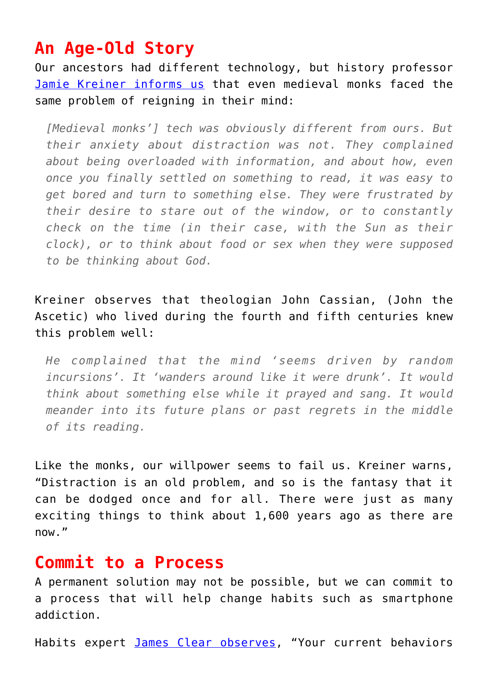## **An Age-Old Story**

Our ancestors had different technology, but history professor [Jamie Kreiner informs us](https://aeon.co/ideas/how-to-reduce-digital-distractions-advice-from-medieval-monks) that even medieval monks faced the same problem of reigning in their mind:

*[Medieval monks'] tech was obviously different from ours. But their anxiety about distraction was not. They complained about being overloaded with information, and about how, even once you finally settled on something to read, it was easy to get bored and turn to something else. They were frustrated by their desire to stare out of the window, or to constantly check on the time (in their case, with the Sun as their clock), or to think about food or sex when they were supposed to be thinking about God.*

Kreiner observes that theologian John Cassian, (John the Ascetic) who lived during the fourth and fifth centuries knew this problem well:

*He complained that the mind 'seems driven by random incursions'. It 'wanders around like it were drunk'. It would think about something else while it prayed and sang. It would meander into its future plans or past regrets in the middle of its reading.*

Like the monks, our willpower seems to fail us. Kreiner warns, "Distraction is an old problem, and so is the fantasy that it can be dodged once and for all. There were just as many exciting things to think about 1,600 years ago as there are now."

## **Commit to a Process**

A permanent solution may not be possible, but we can commit to a process that will help change habits such as smartphone addiction.

Habits expert [James Clear observes,](https://medium.com/@jamesclear/identity-based-habits-how-to-actually-stick-to-your-goals-bc8cde3c8e22) "Your current behaviors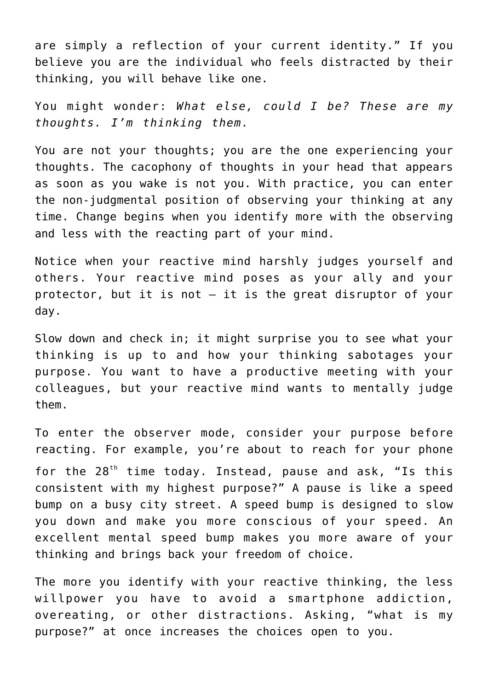are simply a reflection of your current identity." If you believe you are the individual who feels distracted by their thinking, you will behave like one.

You might wonder: *What else, could I be? These are my thoughts. I'm thinking them.*

You are not your thoughts; you are the one experiencing your thoughts. The cacophony of thoughts in your head that appears as soon as you wake is not you. With practice, you can enter the non-judgmental position of observing your thinking at any time. Change begins when you identify more with the observing and less with the reacting part of your mind.

Notice when your reactive mind harshly judges yourself and others. Your reactive mind poses as your ally and your protector, but it is not  $-$  it is the great disruptor of your day.

Slow down and check in; it might surprise you to see what your thinking is up to and how your thinking sabotages your purpose. You want to have a productive meeting with your colleagues, but your reactive mind wants to mentally judge them.

To enter the observer mode, consider your purpose before reacting. For example, you're about to reach for your phone for the  $28<sup>th</sup>$  time today. Instead, pause and ask, "Is this consistent with my highest purpose?" A pause is like a speed bump on a busy city street. A speed bump is designed to slow you down and make you more conscious of your speed. An excellent mental speed bump makes you more aware of your thinking and brings back your freedom of choice.

The more you identify with your reactive thinking, the less willpower you have to avoid a smartphone addiction, overeating, or other distractions. Asking, "what is my purpose?" at once increases the choices open to you.